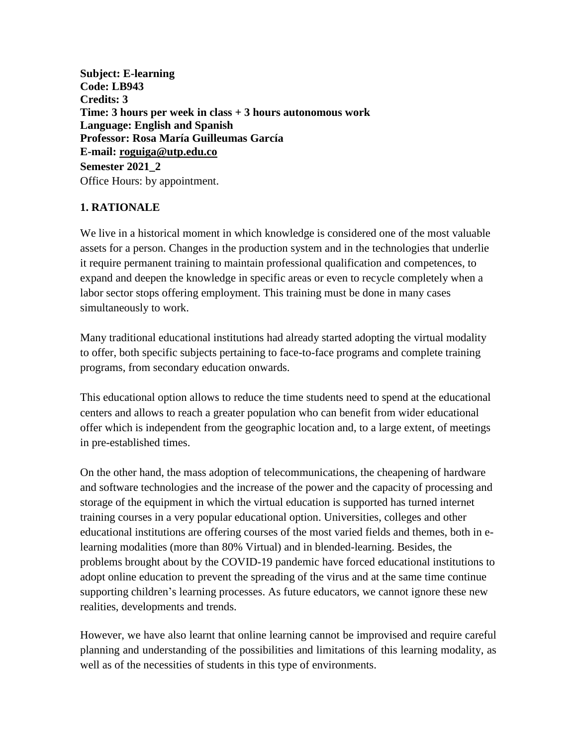**Subject: E-learning Code: LB943 Credits: 3 Time: 3 hours per week in class + 3 hours autonomous work Language: English and Spanish Professor: Rosa María Guilleumas García E-mail: [roguiga@utp.edu.co](mailto:roguiga@utp.edu.co) Semester 2021\_2** Office Hours: by appointment.

## **1. RATIONALE**

We live in a historical moment in which knowledge is considered one of the most valuable assets for a person. Changes in the production system and in the technologies that underlie it require permanent training to maintain professional qualification and competences, to expand and deepen the knowledge in specific areas or even to recycle completely when a labor sector stops offering employment. This training must be done in many cases simultaneously to work.

Many traditional educational institutions had already started adopting the virtual modality to offer, both specific subjects pertaining to face-to-face programs and complete training programs, from secondary education onwards.

This educational option allows to reduce the time students need to spend at the educational centers and allows to reach a greater population who can benefit from wider educational offer which is independent from the geographic location and, to a large extent, of meetings in pre-established times.

On the other hand, the mass adoption of telecommunications, the cheapening of hardware and software technologies and the increase of the power and the capacity of processing and storage of the equipment in which the virtual education is supported has turned internet training courses in a very popular educational option. Universities, colleges and other educational institutions are offering courses of the most varied fields and themes, both in elearning modalities (more than 80% Virtual) and in blended-learning. Besides, the problems brought about by the COVID-19 pandemic have forced educational institutions to adopt online education to prevent the spreading of the virus and at the same time continue supporting children's learning processes. As future educators, we cannot ignore these new realities, developments and trends.

However, we have also learnt that online learning cannot be improvised and require careful planning and understanding of the possibilities and limitations of this learning modality, as well as of the necessities of students in this type of environments.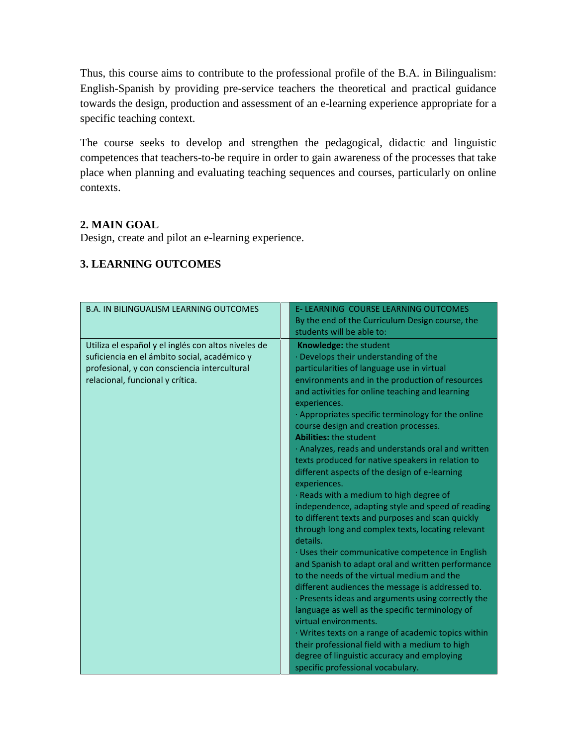Thus, this course aims to contribute to the professional profile of the B.A. in Bilingualism: English-Spanish by providing pre-service teachers the theoretical and practical guidance towards the design, production and assessment of an e-learning experience appropriate for a specific teaching context.

The course seeks to develop and strengthen the pedagogical, didactic and linguistic competences that teachers-to-be require in order to gain awareness of the processes that take place when planning and evaluating teaching sequences and courses, particularly on online contexts.

## **2. MAIN GOAL**

Design, create and pilot an e-learning experience.

#### B.A. IN BILINGUALISM LEARNING OUTCOMES E- LEARNING COURSE LEARNING OUTCOMES By the end of the Curriculum Design course, the students will be able to: Utiliza el español y el inglés con altos niveles de suficiencia en el ámbito social, académico y profesional, y con consciencia intercultural relacional, funcional y crítica. **Knowledge:** the student · Develops their understanding of the particularities of language use in virtual environments and in the production of resources and activities for online teaching and learning experiences. · Appropriates specific terminology for the online course design and creation processes. **Abilities:** the student · Analyzes, reads and understands oral and written texts produced for native speakers in relation to different aspects of the design of e-learning experiences. · Reads with a medium to high degree of independence, adapting style and speed of reading to different texts and purposes and scan quickly through long and complex texts, locating relevant details. · Uses their communicative competence in English and Spanish to adapt oral and written performance to the needs of the virtual medium and the different audiences the message is addressed to. · Presents ideas and arguments using correctly the language as well as the specific terminology of virtual environments. · Writes texts on a range of academic topics within their professional field with a medium to high degree of linguistic accuracy and employing specific professional vocabulary.

# **3. LEARNING OUTCOMES**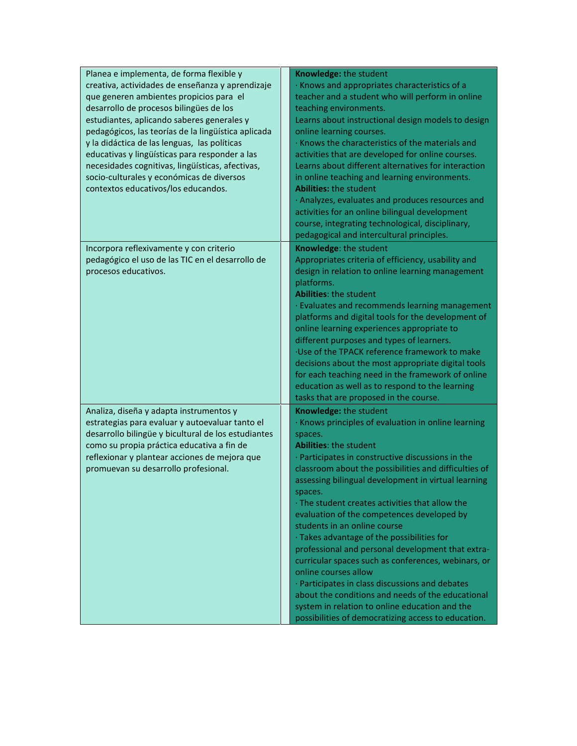| Planea e implementa, de forma flexible y<br>creativa, actividades de enseñanza y aprendizaje<br>que generen ambientes propicios para el<br>desarrollo de procesos bilingües de los<br>estudiantes, aplicando saberes generales y<br>pedagógicos, las teorías de la lingüística aplicada<br>y la didáctica de las lenguas, las políticas<br>educativas y lingüísticas para responder a las<br>necesidades cognitivas, lingüísticas, afectivas,<br>socio-culturales y económicas de diversos<br>contextos educativos/los educandos. | Knowledge: the student<br>· Knows and appropriates characteristics of a<br>teacher and a student who will perform in online<br>teaching environments.<br>Learns about instructional design models to design<br>online learning courses.<br>· Knows the characteristics of the materials and<br>activities that are developed for online courses.<br>Learns about different alternatives for interaction<br>in online teaching and learning environments.<br><b>Abilities: the student</b><br>· Analyzes, evaluates and produces resources and<br>activities for an online bilingual development<br>course, integrating technological, disciplinary,<br>pedagogical and intercultural principles.                                                                                                                                              |
|-----------------------------------------------------------------------------------------------------------------------------------------------------------------------------------------------------------------------------------------------------------------------------------------------------------------------------------------------------------------------------------------------------------------------------------------------------------------------------------------------------------------------------------|-----------------------------------------------------------------------------------------------------------------------------------------------------------------------------------------------------------------------------------------------------------------------------------------------------------------------------------------------------------------------------------------------------------------------------------------------------------------------------------------------------------------------------------------------------------------------------------------------------------------------------------------------------------------------------------------------------------------------------------------------------------------------------------------------------------------------------------------------|
| Incorpora reflexivamente y con criterio<br>pedagógico el uso de las TIC en el desarrollo de<br>procesos educativos.                                                                                                                                                                                                                                                                                                                                                                                                               | Knowledge: the student<br>Appropriates criteria of efficiency, usability and<br>design in relation to online learning management<br>platforms.<br><b>Abilities: the student</b><br>· Evaluates and recommends learning management<br>platforms and digital tools for the development of<br>online learning experiences appropriate to<br>different purposes and types of learners.<br>·Use of the TPACK reference framework to make<br>decisions about the most appropriate digital tools<br>for each teaching need in the framework of online<br>education as well as to respond to the learning<br>tasks that are proposed in the course.                                                                                                                                                                                                   |
| Analiza, diseña y adapta instrumentos y<br>estrategias para evaluar y autoevaluar tanto el<br>desarrollo bilingüe y bicultural de los estudiantes<br>como su propia práctica educativa a fin de<br>reflexionar y plantear acciones de mejora que<br>promuevan su desarrollo profesional.                                                                                                                                                                                                                                          | Knowledge: the student<br>· Knows principles of evaluation in online learning<br>spaces.<br><b>Abilities: the student</b><br>· Participates in constructive discussions in the<br>classroom about the possibilities and difficulties of<br>assessing bilingual development in virtual learning<br>spaces.<br>. The student creates activities that allow the<br>evaluation of the competences developed by<br>students in an online course<br>· Takes advantage of the possibilities for<br>professional and personal development that extra-<br>curricular spaces such as conferences, webinars, or<br>online courses allow<br>· Participates in class discussions and debates<br>about the conditions and needs of the educational<br>system in relation to online education and the<br>possibilities of democratizing access to education. |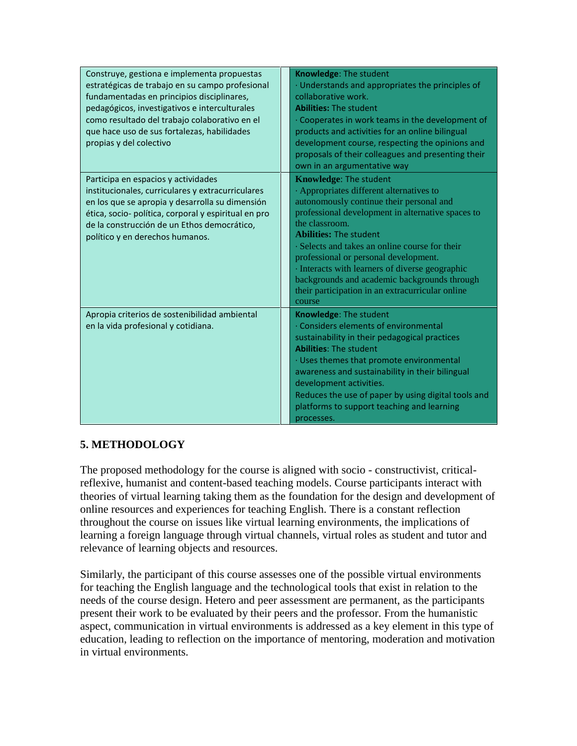| Construye, gestiona e implementa propuestas<br>estratégicas de trabajo en su campo profesional<br>fundamentadas en principios disciplinares,<br>pedagógicos, investigativos e interculturales<br>como resultado del trabajo colaborativo en el<br>que hace uso de sus fortalezas, habilidades<br>propias y del colectivo | Knowledge: The student<br>· Understands and appropriates the principles of<br>collaborative work.<br><b>Abilities: The student</b><br>· Cooperates in work teams in the development of<br>products and activities for an online bilingual<br>development course, respecting the opinions and<br>proposals of their colleagues and presenting their<br>own in an argumentative way                                                                                                         |
|--------------------------------------------------------------------------------------------------------------------------------------------------------------------------------------------------------------------------------------------------------------------------------------------------------------------------|-------------------------------------------------------------------------------------------------------------------------------------------------------------------------------------------------------------------------------------------------------------------------------------------------------------------------------------------------------------------------------------------------------------------------------------------------------------------------------------------|
| Participa en espacios y actividades<br>institucionales, curriculares y extracurriculares<br>en los que se apropia y desarrolla su dimensión<br>ética, socio- política, corporal y espiritual en pro<br>de la construcción de un Ethos democrático,<br>político y en derechos humanos.                                    | <b>Knowledge: The student</b><br>· Appropriates different alternatives to<br>autonomously continue their personal and<br>professional development in alternative spaces to<br>the classroom.<br><b>Abilities: The student</b><br>· Selects and takes an online course for their<br>professional or personal development.<br>· Interacts with learners of diverse geographic<br>backgrounds and academic backgrounds through<br>their participation in an extracurricular online<br>course |
| Apropia criterios de sostenibilidad ambiental<br>en la vida profesional y cotidiana.                                                                                                                                                                                                                                     | Knowledge: The student<br>· Considers elements of environmental<br>sustainability in their pedagogical practices<br><b>Abilities: The student</b><br>· Uses themes that promote environmental<br>awareness and sustainability in their bilingual<br>development activities.<br>Reduces the use of paper by using digital tools and<br>platforms to support teaching and learning<br>processes.                                                                                            |

### **5. METHODOLOGY**

The proposed methodology for the course is aligned with socio - constructivist, criticalreflexive, humanist and content-based teaching models. Course participants interact with theories of virtual learning taking them as the foundation for the design and development of online resources and experiences for teaching English. There is a constant reflection throughout the course on issues like virtual learning environments, the implications of learning a foreign language through virtual channels, virtual roles as student and tutor and relevance of learning objects and resources.

Similarly, the participant of this course assesses one of the possible virtual environments for teaching the English language and the technological tools that exist in relation to the needs of the course design. Hetero and peer assessment are permanent, as the participants present their work to be evaluated by their peers and the professor. From the humanistic aspect, communication in virtual environments is addressed as a key element in this type of education, leading to reflection on the importance of mentoring, moderation and motivation in virtual environments.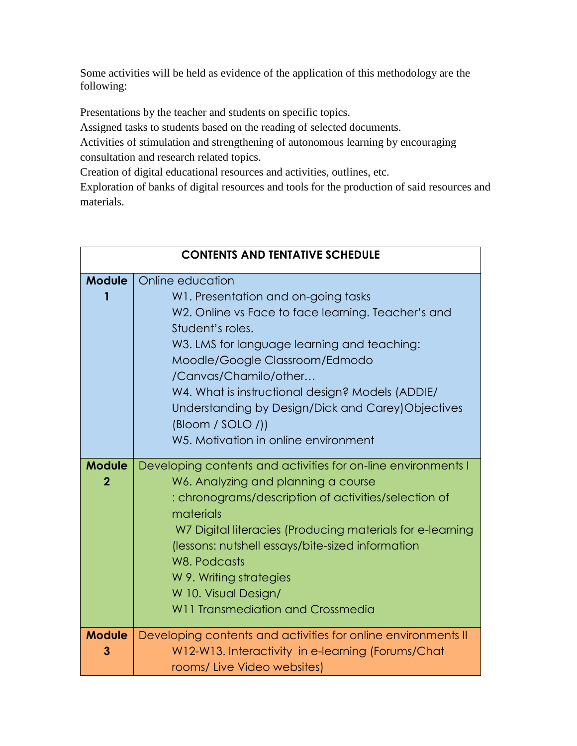Some activities will be held as evidence of the application of this methodology are the following:

Presentations by the teacher and students on specific topics.

Assigned tasks to students based on the reading of selected documents.

Activities of stimulation and strengthening of autonomous learning by encouraging consultation and research related topics.

Creation of digital educational resources and activities, outlines, etc.

Exploration of banks of digital resources and tools for the production of said resources and materials.

| <b>CONTENTS AND TENTATIVE SCHEDULE</b> |                                                                                                                                                                                                                                                                                                                                                                                                                                                            |
|----------------------------------------|------------------------------------------------------------------------------------------------------------------------------------------------------------------------------------------------------------------------------------------------------------------------------------------------------------------------------------------------------------------------------------------------------------------------------------------------------------|
| <b>Module</b>                          | Online education<br>W1. Presentation and on-going tasks<br>W2. Online vs Face to face learning. Teacher's and<br>Student's roles.<br>W3. LMS for language learning and teaching:<br>Moodle/Google Classroom/Edmodo<br>/Canvas/Chamilo/other<br>W4. What is instructional design? Models (ADDIE/<br>Understanding by Design/Dick and Carey) Objectives<br>$\left(\text{Bloom} / \text{SOLO} / \right)$<br>W <sub>5</sub> . Motivation in online environment |
| <b>Module</b><br>$\overline{2}$        | Developing contents and activities for on-line environments I<br>W6. Analyzing and planning a course<br>: chronograms/description of activities/selection of<br>materials<br>W7 Digital literacies (Producing materials for e-learning<br>(lessons: nutshell essays/bite-sized information<br>W8. Podcasts<br>W 9. Writing strategies<br>W 10. Visual Design/<br>W11 Transmediation and Crossmedia                                                         |
| <b>Module</b><br>З                     | Developing contents and activities for online environments II<br>W12-W13. Interactivity in e-learning (Forums/Chat<br>rooms/ Live Video websites)                                                                                                                                                                                                                                                                                                          |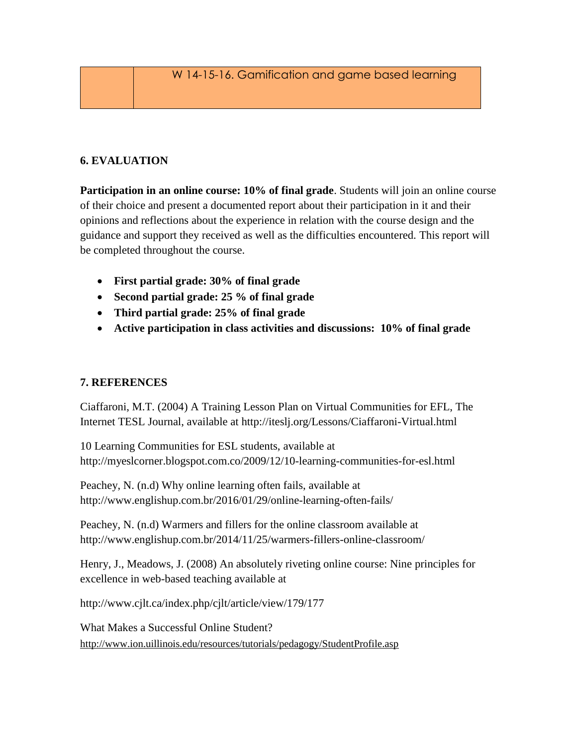# **6. EVALUATION**

**Participation in an online course: 10% of final grade**. Students will join an online course of their choice and present a documented report about their participation in it and their opinions and reflections about the experience in relation with the course design and the guidance and support they received as well as the difficulties encountered. This report will be completed throughout the course.

- **First partial grade: 30% of final grade**
- **Second partial grade: 25 % of final grade**
- **Third partial grade: 25% of final grade**
- **Active participation in class activities and discussions: 10% of final grade**

### **7. REFERENCES**

Ciaffaroni, M.T. (2004) A Training Lesson Plan on Virtual Communities for EFL, The Internet TESL Journal, available at<http://iteslj.org/Lessons/Ciaffaroni-Virtual.html>

10 Learning Communities for ESL students, available at <http://myeslcorner.blogspot.com.co/2009/12/10-learning-communities-for-esl.html>

Peachey, N. (n.d) Why online learning often fails, available at <http://www.englishup.com.br/2016/01/29/online-learning-often-fails/>

Peachey, N. (n.d) Warmers and fillers for the online classroom available at http://www.englishup.com.br/2014/11/25/warmers-fillers-online-classroom/

Henry, J., Meadows, J. (2008) An absolutely riveting online course: Nine principles for excellence in web-based teaching available at

<http://www.cjlt.ca/index.php/cjlt/article/view/179/177>

What Makes a Successful Online Student? <http://www.ion.uillinois.edu/resources/tutorials/pedagogy/StudentProfile.asp>